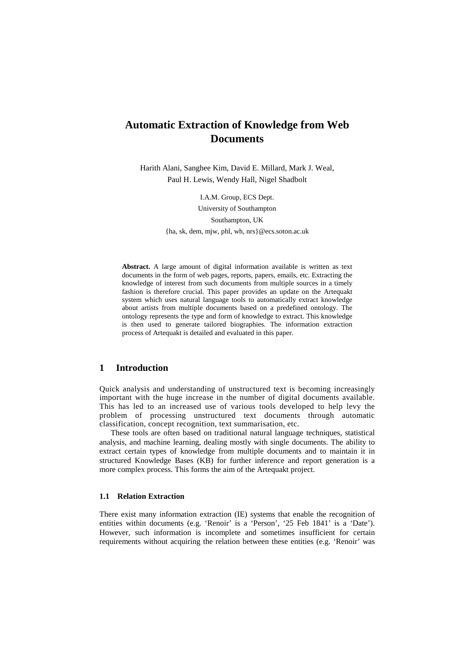# **Automatic Extraction of Knowledge from Web Documents**

Harith Alani, Sanghee Kim, David E. Millard, Mark J. Weal, Paul H. Lewis, Wendy Hall, Nigel Shadbolt

I.A.M. Group, ECS Dept.

University of Southampton

Southampton, UK

{ha, sk, dem, mjw, phl, wh, nrs}@ecs.soton.ac.uk

**Abstract.** A large amount of digital information available is written as text documents in the form of web pages, reports, papers, emails, etc. Extracting the knowledge of interest from such documents from multiple sources in a timely fashion is therefore crucial. This paper provides an update on the Artequakt system which uses natural language tools to automatically extract knowledge about artists from multiple documents based on a predefined ontology. The ontology represents the type and form of knowledge to extract. This knowledge is then used to generate tailored biographies. The information extraction process of Artequakt is detailed and evaluated in this paper.

## **1 Introduction**

Quick analysis and understanding of unstructured text is becoming increasingly important with the huge increase in the number of digital documents available. This has led to an increased use of various tools developed to help levy the problem of processing unstructured text documents through automatic classification, concept recognition, text summarisation, etc.

These tools are often based on traditional natural language techniques, statistical analysis, and machine learning, dealing mostly with single documents. The ability to extract certain types of knowledge from multiple documents and to maintain it in structured Knowledge Bases (KB) for further inference and report generation is a more complex process. This forms the aim of the Artequakt project.

#### **1.1 Relation Extraction**

There exist many information extraction (IE) systems that enable the recognition of entities within documents (e.g. 'Renoir' is a 'Person', '25 Feb 1841' is a 'Date'). However, such information is incomplete and sometimes insufficient for certain requirements without acquiring the relation between these entities (e.g. 'Renoir' was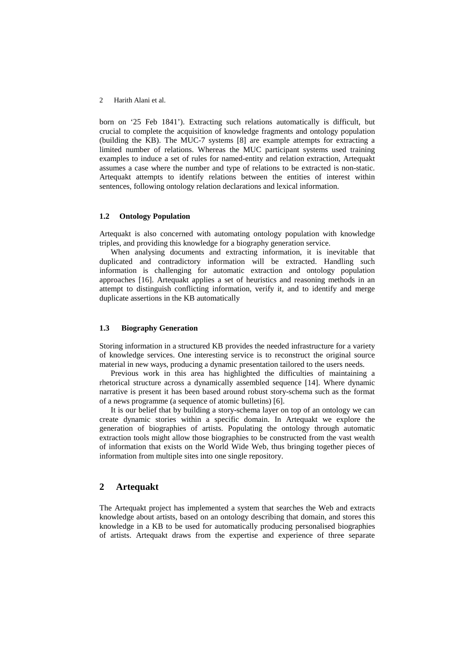born on '25 Feb 1841'). Extracting such relations automatically is difficult, but crucial to complete the acquisition of knowledge fragments and ontology population (building the KB). The MUC-7 systems [8] are example attempts for extracting a limited number of relations. Whereas the MUC participant systems used training examples to induce a set of rules for named-entity and relation extraction, Artequakt assumes a case where the number and type of relations to be extracted is non-static. Artequakt attempts to identify relations between the entities of interest within sentences, following ontology relation declarations and lexical information.

### **1.2 Ontology Population**

Artequakt is also concerned with automating ontology population with knowledge triples, and providing this knowledge for a biography generation service.

When analysing documents and extracting information, it is inevitable that duplicated and contradictory information will be extracted. Handling such information is challenging for automatic extraction and ontology population approaches [16]. Artequakt applies a set of heuristics and reasoning methods in an attempt to distinguish conflicting information, verify it, and to identify and merge duplicate assertions in the KB automatically

#### **1.3 Biography Generation**

Storing information in a structured KB provides the needed infrastructure for a variety of knowledge services. One interesting service is to reconstruct the original source material in new ways, producing a dynamic presentation tailored to the users needs.

Previous work in this area has highlighted the difficulties of maintaining a rhetorical structure across a dynamically assembled sequence [14]. Where dynamic narrative is present it has been based around robust story-schema such as the format of a news programme (a sequence of atomic bulletins) [6].

It is our belief that by building a story-schema layer on top of an ontology we can create dynamic stories within a specific domain. In Artequakt we explore the generation of biographies of artists. Populating the ontology through automatic extraction tools might allow those biographies to be constructed from the vast wealth of information that exists on the World Wide Web, thus bringing together pieces of information from multiple sites into one single repository.

# **2 Artequakt**

The Artequakt project has implemented a system that searches the Web and extracts knowledge about artists, based on an ontology describing that domain, and stores this knowledge in a KB to be used for automatically producing personalised biographies of artists. Artequakt draws from the expertise and experience of three separate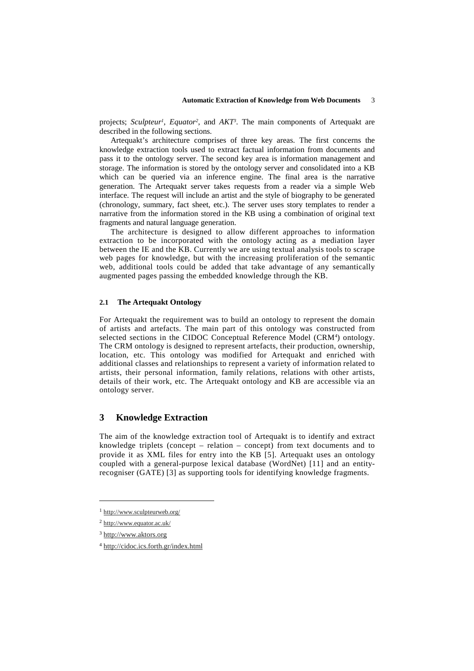projects; *Sculpteur<sup>1</sup>*, *Equator<sup>2</sup>*, and *AKT<sup>3</sup>*. The main components of Artequakt are described in the following sections.

Artequakt's architecture comprises of three key areas. The first concerns the knowledge extraction tools used to extract factual information from documents and pass it to the ontology server. The second key area is information management and storage. The information is stored by the ontology server and consolidated into a KB which can be queried via an inference engine. The final area is the narrative generation. The Artequakt server takes requests from a reader via a simple Web interface. The request will include an artist and the style of biography to be generated (chronology, summary, fact sheet, etc.). The server uses story templates to render a narrative from the information stored in the KB using a combination of original text fragments and natural language generation.

The architecture is designed to allow different approaches to information extraction to be incorporated with the ontology acting as a mediation layer between the IE and the KB. Currently we are using textual analysis tools to scrape web pages for knowledge, but with the increasing proliferation of the semantic web, additional tools could be added that take advantage of any semantically augmented pages passing the embedded knowledge through the KB.

### **2.1 The Artequakt Ontology**

For Artequakt the requirement was to build an ontology to represent the domain of artists and artefacts. The main part of this ontology was constructed from selected sections in the CIDOC Conceptual Reference Model (CRM<sup>4</sup>) ontology. The CRM ontology is designed to represent artefacts, their production, ownership, location, etc. This ontology was modified for Artequakt and enriched with additional classes and relationships to represent a variety of information related to artists, their personal information, family relations, relations with other artists, details of their work, etc. The Artequakt ontology and KB are accessible via an ontology server.

# **3 Knowledge Extraction**

The aim of the knowledge extraction tool of Artequakt is to identify and extract knowledge triplets (concept – relation – concept) from text documents and to provide it as XML files for entry into the KB [5]. Artequakt uses an ontology coupled with a general-purpose lexical database (WordNet) [11] and an entityrecogniser (GATE) [3] as supporting tools for identifying knowledge fragments.

 $\overline{a}$ 

<sup>1</sup> http://www.sculpteurweb.org/

<sup>2</sup> http://www.equator.ac.uk/

<sup>3</sup> http://www.aktors.org

<sup>4</sup> http://cidoc.ics.forth.gr/index.html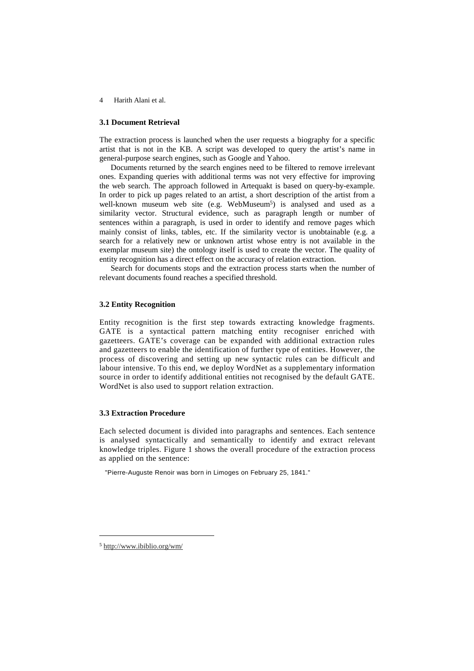#### **3.1 Document Retrieval**

The extraction process is launched when the user requests a biography for a specific artist that is not in the KB. A script was developed to query the artist's name in general-purpose search engines, such as Google and Yahoo.

Documents returned by the search engines need to be filtered to remove irrelevant ones. Expanding queries with additional terms was not very effective for improving the web search. The approach followed in Artequakt is based on query-by-example. In order to pick up pages related to an artist, a short description of the artist from a well-known museum web site (e.g. WebMuseum<sup>5</sup>) is analysed and used as a similarity vector. Structural evidence, such as paragraph length or number of sentences within a paragraph, is used in order to identify and remove pages which mainly consist of links, tables, etc. If the similarity vector is unobtainable (e.g. a search for a relatively new or unknown artist whose entry is not available in the exemplar museum site) the ontology itself is used to create the vector. The quality of entity recognition has a direct effect on the accuracy of relation extraction.

Search for documents stops and the extraction process starts when the number of relevant documents found reaches a specified threshold.

### **3.2 Entity Recognition**

Entity recognition is the first step towards extracting knowledge fragments. GATE is a syntactical pattern matching entity recogniser enriched with gazetteers. GATE's coverage can be expanded with additional extraction rules and gazetteers to enable the identification of further type of entities. However, the process of discovering and setting up new syntactic rules can be difficult and labour intensive. To this end, we deploy WordNet as a supplementary information source in order to identify additional entities not recognised by the default GATE. WordNet is also used to support relation extraction.

### **3.3 Extraction Procedure**

Each selected document is divided into paragraphs and sentences. Each sentence is analysed syntactically and semantically to identify and extract relevant knowledge triples. Figure 1 shows the overall procedure of the extraction process as applied on the sentence:

"Pierre-Auguste Renoir was born in Limoges on February 25, 1841."

j

<sup>5</sup> http://www.ibiblio.org/wm/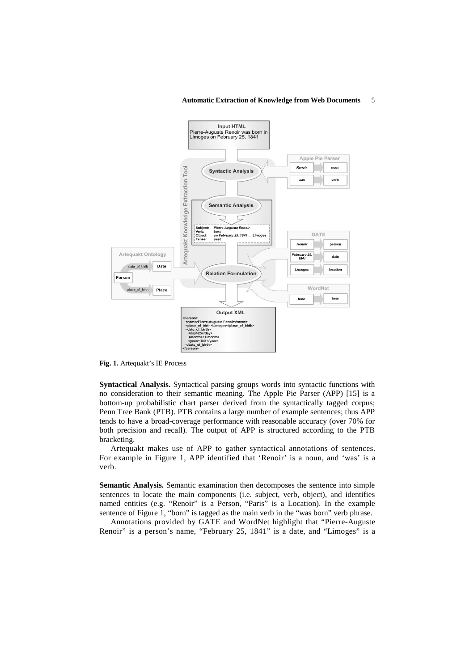#### **Automatic Extraction of Knowledge from Web Documents** 5



**Fig. 1.** Artequakt's IE Process

**Syntactical Analysis.** Syntactical parsing groups words into syntactic functions with no consideration to their semantic meaning. The Apple Pie Parser (APP) [15] is a bottom-up probabilistic chart parser derived from the syntactically tagged corpus; Penn Tree Bank (PTB). PTB contains a large number of example sentences; thus APP tends to have a broad-coverage performance with reasonable accuracy (over 70% for both precision and recall). The output of APP is structured according to the PTB bracketing.

Artequakt makes use of APP to gather syntactical annotations of sentences. For example in Figure 1, APP identified that 'Renoir' is a noun, and 'was' is a verb.

**Semantic Analysis.** Semantic examination then decomposes the sentence into simple sentences to locate the main components (i.e. subject, verb, object), and identifies named entities (e.g. "Renoir" is a Person, "Paris" is a Location). In the example sentence of Figure 1, "born" is tagged as the main verb in the "was born" verb phrase.

Annotations provided by GATE and WordNet highlight that "Pierre-Auguste Renoir" is a person's name, "February 25, 1841" is a date, and "Limoges" is a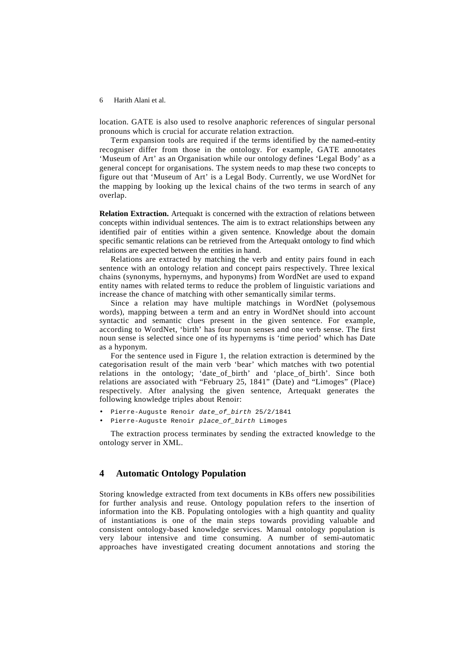location. GATE is also used to resolve anaphoric references of singular personal pronouns which is crucial for accurate relation extraction.

Term expansion tools are required if the terms identified by the named-entity recogniser differ from those in the ontology. For example, GATE annotates 'Museum of Art' as an Organisation while our ontology defines 'Legal Body' as a general concept for organisations. The system needs to map these two concepts to figure out that 'Museum of Art' is a Legal Body. Currently, we use WordNet for the mapping by looking up the lexical chains of the two terms in search of any overlap.

**Relation Extraction.** Artequakt is concerned with the extraction of relations between concepts within individual sentences. The aim is to extract relationships between any identified pair of entities within a given sentence. Knowledge about the domain specific semantic relations can be retrieved from the Artequakt ontology to find which relations are expected between the entities in hand.

Relations are extracted by matching the verb and entity pairs found in each sentence with an ontology relation and concept pairs respectively. Three lexical chains (synonyms, hypernyms, and hyponyms) from WordNet are used to expand entity names with related terms to reduce the problem of linguistic variations and increase the chance of matching with other semantically similar terms.

Since a relation may have multiple matchings in WordNet (polysemous words), mapping between a term and an entry in WordNet should into account syntactic and semantic clues present in the given sentence. For example, according to WordNet, 'birth' has four noun senses and one verb sense. The first noun sense is selected since one of its hypernyms is 'time period' which has Date as a hyponym.

For the sentence used in Figure 1, the relation extraction is determined by the categorisation result of the main verb 'bear' which matches with two potential relations in the ontology; 'date of birth' and 'place of birth'. Since both relations are associated with "February 25, 1841" (Date) and "Limoges" (Place) respectively. After analysing the given sentence, Artequakt generates the following knowledge triples about Renoir:

- Pierre-Auguste Renoir date of birth 25/2/1841
- Pierre-Auguste Renoir place\_of\_birth Limoges

The extraction process terminates by sending the extracted knowledge to the ontology server in XML.

### **4 Automatic Ontology Population**

Storing knowledge extracted from text documents in KBs offers new possibilities for further analysis and reuse. Ontology population refers to the insertion of information into the KB. Populating ontologies with a high quantity and quality of instantiations is one of the main steps towards providing valuable and consistent ontology-based knowledge services. Manual ontology population is very labour intensive and time consuming. A number of semi-automatic approaches have investigated creating document annotations and storing the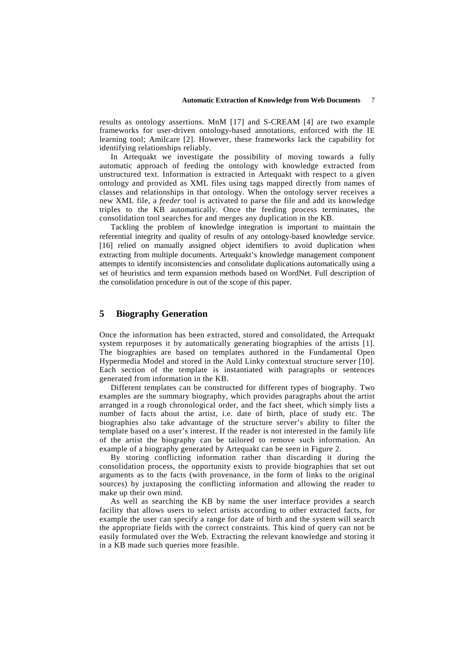results as ontology assertions. MnM [17] and S-CREAM [4] are two example frameworks for user-driven ontology-based annotations, enforced with the IE learning tool; Amilcare [2]. However, these frameworks lack the capability for identifying relationships reliably.

In Artequakt we investigate the possibility of moving towards a fully automatic approach of feeding the ontology with knowledge extracted from unstructured text. Information is extracted in Artequakt with respect to a given ontology and provided as XML files using tags mapped directly from names of classes and relationships in that ontology. When the ontology server receives a new XML file, a *feeder* tool is activated to parse the file and add its knowledge triples to the KB automatically. Once the feeding process terminates, the consolidation tool searches for and merges any duplication in the KB.

Tackling the problem of knowledge integration is important to maintain the referential integrity and quality of results of any ontology-based knowledge service. [16] relied on manually assigned object identifiers to avoid duplication when extracting from multiple documents. Artequakt's knowledge management component attempts to identify inconsistencies and consolidate duplications automatically using a set of heuristics and term expansion methods based on WordNet. Full description of the consolidation procedure is out of the scope of this paper.

### **5 Biography Generation**

Once the information has been extracted, stored and consolidated, the Artequakt system repurposes it by automatically generating biographies of the artists [1]. The biographies are based on templates authored in the Fundamental Open Hypermedia Model and stored in the Auld Linky contextual structure server [10]. Each section of the template is instantiated with paragraphs or sentences generated from information in the KB.

Different templates can be constructed for different types of biography. Two examples are the summary biography, which provides paragraphs about the artist arranged in a rough chronological order, and the fact sheet, which simply lists a number of facts about the artist, i.e. date of birth, place of study etc. The biographies also take advantage of the structure server's ability to filter the template based on a user's interest. If the reader is not interested in the family life of the artist the biography can be tailored to remove such information. An example of a biography generated by Artequakt can be seen in Figure 2.

By storing conflicting information rather than discarding it during the consolidation process, the opportunity exists to provide biographies that set out arguments as to the facts (with provenance, in the form of links to the original sources) by juxtaposing the conflicting information and allowing the reader to make up their own mind.

As well as searching the KB by name the user interface provides a search facility that allows users to select artists according to other extracted facts, for example the user can specify a range for date of birth and the system will search the appropriate fields with the correct constraints. This kind of query can not be easily formulated over the Web. Extracting the relevant knowledge and storing it in a KB made such queries more feasible.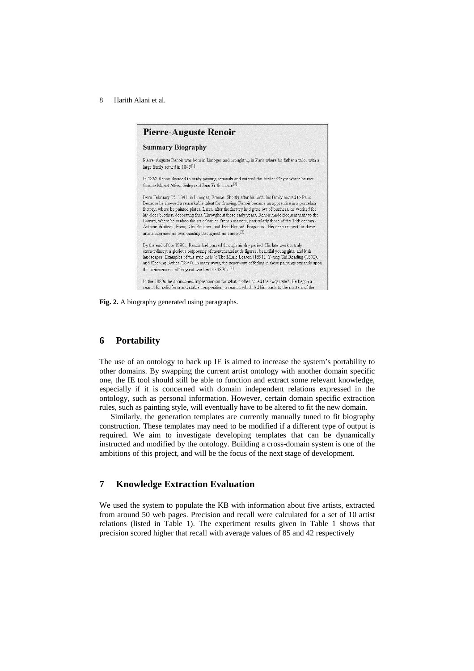

**Fig. 2.** A biography generated using paragraphs.

## **6 Portability**

The use of an ontology to back up IE is aimed to increase the system's portability to other domains. By swapping the current artist ontology with another domain specific one, the IE tool should still be able to function and extract some relevant knowledge, especially if it is concerned with domain independent relations expressed in the ontology, such as personal information. However, certain domain specific extraction rules, such as painting style, will eventually have to be altered to fit the new domain.

Similarly, the generation templates are currently manually tuned to fit biography construction. These templates may need to be modified if a different type of output is required. We aim to investigate developing templates that can be dynamically instructed and modified by the ontology. Building a cross-domain system is one of the ambitions of this project, and will be the focus of the next stage of development.

# **7 Knowledge Extraction Evaluation**

We used the system to populate the KB with information about five artists, extracted from around 50 web pages. Precision and recall were calculated for a set of 10 artist relations (listed in Table 1). The experiment results given in Table 1 shows that precision scored higher that recall with average values of 85 and 42 respectively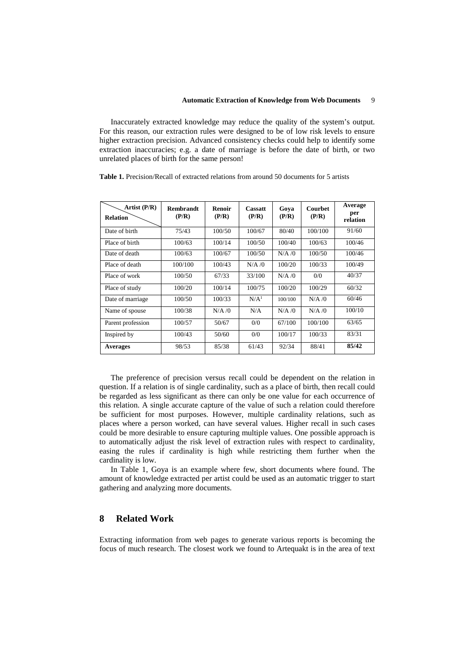Inaccurately extracted knowledge may reduce the quality of the system's output. For this reason, our extraction rules were designed to be of low risk levels to ensure higher extraction precision. Advanced consistency checks could help to identify some extraction inaccuracies; e.g. a date of marriage is before the date of birth, or two unrelated places of birth for the same person!

**Table 1.** Precision/Recall of extracted relations from around 50 documents for 5 artists

| Artist $(P/R)$<br><b>Relation</b> | Rembrandt<br>(P/R) | Renoir<br>(P/R) | <b>Cassatt</b><br>(P/R) | Gova<br>(P/R) | <b>Courbet</b><br>(P/R) | Average<br>per<br>relation |
|-----------------------------------|--------------------|-----------------|-------------------------|---------------|-------------------------|----------------------------|
| Date of birth                     | 75/43              | 100/50          | 100/67                  | 80/40         | 100/100                 | 91/60                      |
| Place of birth                    | 100/63             | 100/14          | 100/50                  | 100/40        | 100/63                  | 100/46                     |
| Date of death                     | 100/63             | 100/67          | 100/50                  | N/A/0         | 100/50                  | 100/46                     |
| Place of death                    | 100/100            | 100/43          | N/A/0                   | 100/20        | 100/33                  | 100/49                     |
| Place of work                     | 100/50             | 67/33           | 33/100                  | N/A/0         | 0/0                     | 40/37                      |
| Place of study                    | 100/20             | 100/14          | 100/75                  | 100/20        | 100/29                  | 60/32                      |
| Date of marriage                  | 100/50             | 100/33          | N/A <sup>1</sup>        | 100/100       | $N/A$ /0                | 60/46                      |
| Name of spouse                    | 100/38             | N/A/0           | N/A                     | $N/A$ /0      | $N/A$ /0                | 100/10                     |
| Parent profession                 | 100/57             | 50/67           | 0/0                     | 67/100        | 100/100                 | 63/65                      |
| Inspired by                       | 100/43             | 50/60           | 0/0                     | 100/17        | 100/33                  | 83/31                      |
| <b>Averages</b>                   | 98/53              | 85/38           | 61/43                   | 92/34         | 88/41                   | 85/42                      |

The preference of precision versus recall could be dependent on the relation in question. If a relation is of single cardinality, such as a place of birth, then recall could be regarded as less significant as there can only be one value for each occurrence of this relation. A single accurate capture of the value of such a relation could therefore be sufficient for most purposes. However, multiple cardinality relations, such as places where a person worked, can have several values. Higher recall in such cases could be more desirable to ensure capturing multiple values. One possible approach is to automatically adjust the risk level of extraction rules with respect to cardinality, easing the rules if cardinality is high while restricting them further when the cardinality is low.

In Table 1, Goya is an example where few, short documents where found. The amount of knowledge extracted per artist could be used as an automatic trigger to start gathering and analyzing more documents.

# **8 Related Work**

Extracting information from web pages to generate various reports is becoming the focus of much research. The closest work we found to Artequakt is in the area of text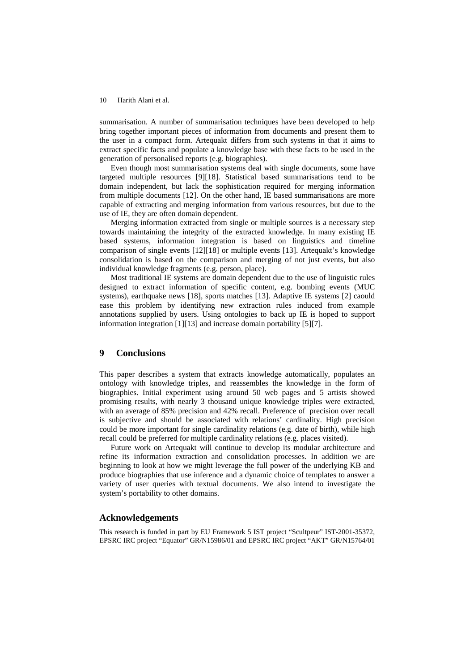summarisation. A number of summarisation techniques have been developed to help bring together important pieces of information from documents and present them to the user in a compact form. Artequakt differs from such systems in that it aims to extract specific facts and populate a knowledge base with these facts to be used in the generation of personalised reports (e.g. biographies).

Even though most summarisation systems deal with single documents, some have targeted multiple resources [9][18]. Statistical based summarisations tend to be domain independent, but lack the sophistication required for merging information from multiple documents [12]. On the other hand, IE based summarisations are more capable of extracting and merging information from various resources, but due to the use of IE, they are often domain dependent.

Merging information extracted from single or multiple sources is a necessary step towards maintaining the integrity of the extracted knowledge. In many existing IE based systems, information integration is based on linguistics and timeline comparison of single events [12][18] or multiple events [13]. Artequakt's knowledge consolidation is based on the comparison and merging of not just events, but also individual knowledge fragments (e.g. person, place).

Most traditional IE systems are domain dependent due to the use of linguistic rules designed to extract information of specific content, e.g. bombing events (MUC systems), earthquake news [18], sports matches [13]. Adaptive IE systems [2] caould ease this problem by identifying new extraction rules induced from example annotations supplied by users. Using ontologies to back up IE is hoped to support information integration [1][13] and increase domain portability [5][7].

# **9 Conclusions**

This paper describes a system that extracts knowledge automatically, populates an ontology with knowledge triples, and reassembles the knowledge in the form of biographies. Initial experiment using around 50 web pages and 5 artists showed promising results, with nearly 3 thousand unique knowledge triples were extracted, with an average of 85% precision and 42% recall. Preference of precision over recall is subjective and should be associated with relations' cardinality. High precision could be more important for single cardinality relations (e.g. date of birth), while high recall could be preferred for multiple cardinality relations (e.g. places visited).

Future work on Artequakt will continue to develop its modular architecture and refine its information extraction and consolidation processes. In addition we are beginning to look at how we might leverage the full power of the underlying KB and produce biographies that use inference and a dynamic choice of templates to answer a variety of user queries with textual documents. We also intend to investigate the system's portability to other domains.

#### **Acknowledgements**

This research is funded in part by EU Framework 5 IST project "Scultpeur" IST-2001-35372, EPSRC IRC project "Equator" GR/N15986/01 and EPSRC IRC project "AKT" GR/N15764/01